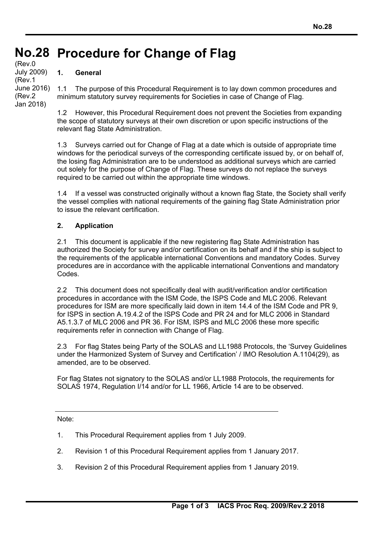# **No.28 Procedure for Change of Flag No.28**  (Rev.0

#### **1. General**

July 2009) (Rev.1 June 2016) (Rev.2 Jan 2018)

1.1 The purpose of this Procedural Requirement is to lay down common procedures and minimum statutory survey requirements for Societies in case of Change of Flag.

1.2 However, this Procedural Requirement does not prevent the Societies from expanding the scope of statutory surveys at their own discretion or upon specific instructions of the relevant flag State Administration.

1.3 Surveys carried out for Change of Flag at a date which is outside of appropriate time windows for the periodical surveys of the corresponding certificate issued by, or on behalf of, the losing flag Administration are to be understood as additional surveys which are carried out solely for the purpose of Change of Flag. These surveys do not replace the surveys required to be carried out within the appropriate time windows.

1.4 If a vessel was constructed originally without a known flag State, the Society shall verify the vessel complies with national requirements of the gaining flag State Administration prior to issue the relevant certification.

### **2. Application**

2.1 This document is applicable if the new registering flag State Administration has authorized the Society for survey and/or certification on its behalf and if the ship is subject to the requirements of the applicable international Conventions and mandatory Codes. Survey procedures are in accordance with the applicable international Conventions and mandatory Codes.

2.2 This document does not specifically deal with audit/verification and/or certification procedures in accordance with the ISM Code, the ISPS Code and MLC 2006. Relevant procedures for ISM are more specifically laid down in item 14.4 of the ISM Code and PR 9, for ISPS in section A.19.4.2 of the ISPS Code and PR 24 and for MLC 2006 in Standard A5.1.3.7 of MLC 2006 and PR 36. For ISM, ISPS and MLC 2006 these more specific requirements refer in connection with Change of Flag.

2.3 For flag States being Party of the SOLAS and LL1988 Protocols, the 'Survey Guidelines under the Harmonized System of Survey and Certification' / IMO Resolution A.1104(29), as amended, are to be observed.

For flag States not signatory to the SOLAS and/or LL1988 Protocols, the requirements for SOLAS 1974, Regulation I/14 and/or for LL 1966, Article 14 are to be observed.

Note:

- 1. This Procedural Requirement applies from 1 July 2009.
- 2. Revision 1 of this Procedural Requirement applies from 1 January 2017.
- 3. Revision 2 of this Procedural Requirement applies from 1 January 2019.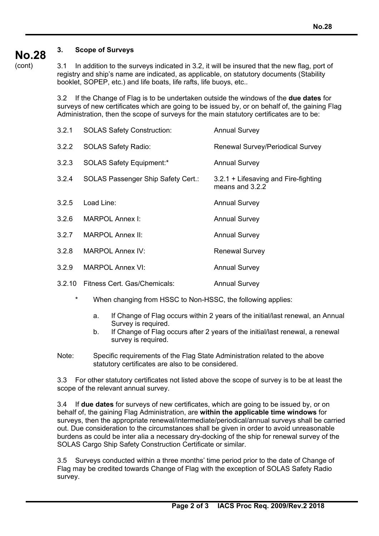#### **No.28 3. Scope of Surveys**

(cont)

3.1 In addition to the surveys indicated in 3.2, it will be insured that the new flag, port of registry and ship's name are indicated, as applicable, on statutory documents (Stability booklet, SOPEP, etc.) and life boats, life rafts, life buoys, etc..

3.2 If the Change of Flag is to be undertaken outside the windows of the **due dates** for surveys of new certificates which are going to be issued by, or on behalf of, the gaining Flag Administration, then the scope of surveys for the main statutory certificates are to be:

| 3.2.1  | <b>SOLAS Safety Construction:</b>         | <b>Annual Survey</b>                                      |
|--------|-------------------------------------------|-----------------------------------------------------------|
| 3.2.2  | <b>SOLAS Safety Radio:</b>                | <b>Renewal Survey/Periodical Survey</b>                   |
| 3.2.3  | <b>SOLAS Safety Equipment:*</b>           | <b>Annual Survey</b>                                      |
| 3.2.4  | <b>SOLAS Passenger Ship Safety Cert.:</b> | 3.2.1 + Lifesaving and Fire-fighting<br>means and $3.2.2$ |
| 3.2.5  | Load Line:                                | <b>Annual Survey</b>                                      |
| 3.2.6  | MARPOL Annex I:                           | <b>Annual Survey</b>                                      |
| 3.2.7  | <b>MARPOL Annex II:</b>                   | <b>Annual Survey</b>                                      |
| 3.2.8  | <b>MARPOL Annex IV:</b>                   | <b>Renewal Survey</b>                                     |
| 3.2.9  | <b>MARPOL Annex VI:</b>                   | <b>Annual Survey</b>                                      |
| 3.2.10 | Fitness Cert. Gas/Chemicals:              | <b>Annual Survey</b>                                      |

- When changing from HSSC to Non-HSSC, the following applies:
	- a. If Change of Flag occurs within 2 years of the initial/last renewal, an Annual Survey is required.
	- b. If Change of Flag occurs after 2 years of the initial/last renewal, a renewal survey is required.
- Note: Specific requirements of the Flag State Administration related to the above statutory certificates are also to be considered.

3.3 For other statutory certificates not listed above the scope of survey is to be at least the scope of the relevant annual survey.

3.4 If **due dates** for surveys of new certificates, which are going to be issued by, or on behalf of, the gaining Flag Administration, are **within the applicable time windows** for surveys, then the appropriate renewal/intermediate/periodical/annual surveys shall be carried out. Due consideration to the circumstances shall be given in order to avoid unreasonable burdens as could be inter alia a necessary dry-docking of the ship for renewal survey of the SOLAS Cargo Ship Safety Construction Certificate or similar.

3.5 Surveys conducted within a three months' time period prior to the date of Change of Flag may be credited towards Change of Flag with the exception of SOLAS Safety Radio survey.